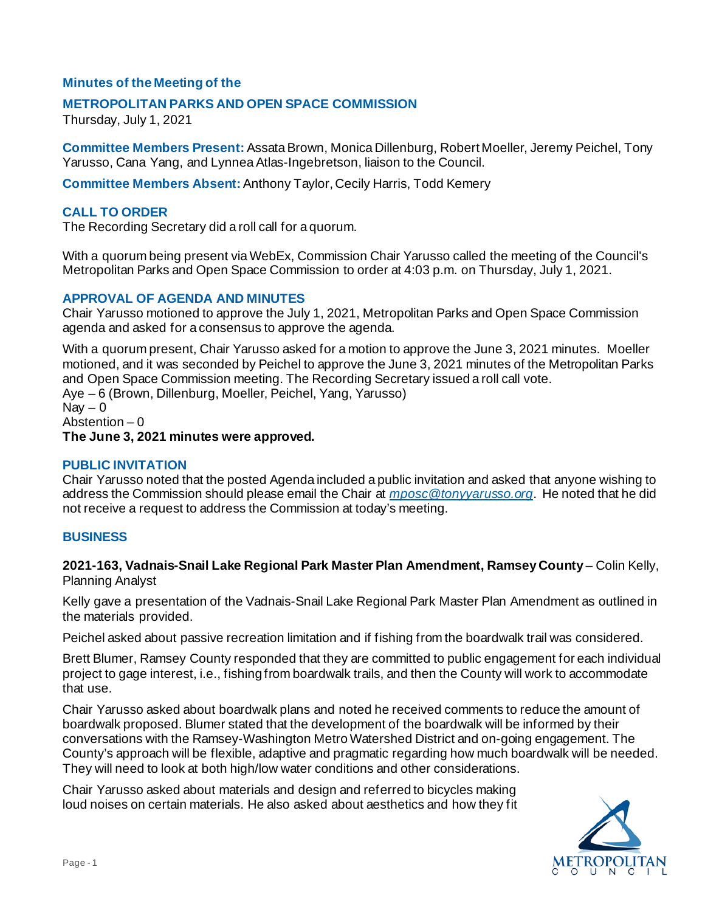# **Minutes of the Meeting of the**

## **METROPOLITAN PARKS AND OPEN SPACE COMMISSION**

Thursday, July 1, 2021

**Committee Members Present:** Assata Brown, Monica Dillenburg, Robert Moeller, Jeremy Peichel, Tony Yarusso, Cana Yang, and Lynnea Atlas-Ingebretson, liaison to the Council.

**Committee Members Absent:** Anthony Taylor, Cecily Harris, Todd Kemery

## **CALL TO ORDER**

The Recording Secretary did a roll call for a quorum.

With a quorum being present via WebEx, Commission Chair Yarusso called the meeting of the Council's Metropolitan Parks and Open Space Commission to order at 4:03 p.m. on Thursday, July 1, 2021.

#### **APPROVAL OF AGENDA AND MINUTES**

Chair Yarusso motioned to approve the July 1, 2021, Metropolitan Parks and Open Space Commission agenda and asked for a consensus to approve the agenda.

With a quorum present, Chair Yarusso asked for a motion to approve the June 3, 2021 minutes. Moeller motioned, and it was seconded by Peichel to approve the June 3, 2021 minutes of the Metropolitan Parks and Open Space Commission meeting. The Recording Secretary issued a roll call vote. Aye – 6 (Brown, Dillenburg, Moeller, Peichel, Yang, Yarusso)  $\text{Nav} - 0$ Abstention – 0

**The June 3, 2021 minutes were approved.**

#### **PUBLIC INVITATION**

Chair Yarusso noted that the posted Agenda included a public invitation and asked that anyone wishing to address the Commission should please email the Chair at *[mposc@tonyyarusso.org](mailto:mposc@tonyyarusso.org)*. He noted that he did not receive a request to address the Commission at today's meeting.

## **BUSINESS**

**2021-163, Vadnais-Snail Lake Regional Park Master Plan Amendment, Ramsey County** – Colin Kelly, Planning Analyst

Kelly gave a presentation of the Vadnais-Snail Lake Regional Park Master Plan Amendment as outlined in the materials provided.

Peichel asked about passive recreation limitation and if fishing from the boardwalk trail was considered.

Brett Blumer, Ramsey County responded that they are committed to public engagement for each individual project to gage interest, i.e., fishing from boardwalk trails, and then the County will work to accommodate that use.

Chair Yarusso asked about boardwalk plans and noted he received comments to reduce the amount of boardwalk proposed. Blumer stated that the development of the boardwalk will be informed by their conversations with the Ramsey-Washington Metro Watershed District and on-going engagement. The County's approach will be flexible, adaptive and pragmatic regarding how much boardwalk will be needed. They will need to look at both high/low water conditions and other considerations.

Chair Yarusso asked about materials and design and referred to bicycles making loud noises on certain materials. He also asked about aesthetics and how they fit

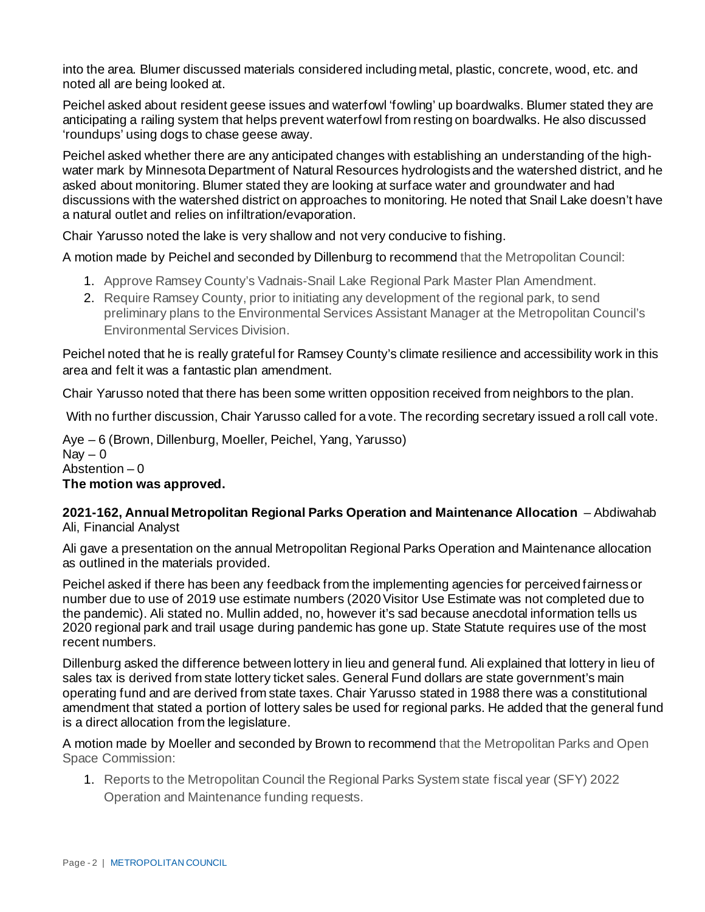into the area. Blumer discussed materials considered including metal, plastic, concrete, wood, etc. and noted all are being looked at.

Peichel asked about resident geese issues and waterfowl 'fowling' up boardwalks. Blumer stated they are anticipating a railing system that helps prevent waterfowl from resting on boardwalks. He also discussed 'roundups' using dogs to chase geese away.

Peichel asked whether there are any anticipated changes with establishing an understanding of the highwater mark by Minnesota Department of Natural Resources hydrologists and the watershed district, and he asked about monitoring. Blumer stated they are looking at surface water and groundwater and had discussions with the watershed district on approaches to monitoring. He noted that Snail Lake doesn't have a natural outlet and relies on infiltration/evaporation.

Chair Yarusso noted the lake is very shallow and not very conducive to fishing.

A motion made by Peichel and seconded by Dillenburg to recommend that the Metropolitan Council:

- 1. Approve Ramsey County's Vadnais-Snail Lake Regional Park Master Plan Amendment.
- 2. Require Ramsey County, prior to initiating any development of the regional park, to send preliminary plans to the Environmental Services Assistant Manager at the Metropolitan Council's Environmental Services Division.

Peichel noted that he is really grateful for Ramsey County's climate resilience and accessibility work in this area and felt it was a fantastic plan amendment.

Chair Yarusso noted that there has been some written opposition received from neighbors to the plan.

With no further discussion, Chair Yarusso called for a vote. The recording secretary issued a roll call vote.

Aye – 6 (Brown, Dillenburg, Moeller, Peichel, Yang, Yarusso) Nav  $-0$ Abstention – 0 **The motion was approved.**

# **2021-162, Annual Metropolitan Regional Parks Operation and Maintenance Allocation** – Abdiwahab Ali, Financial Analyst

Ali gave a presentation on the annual Metropolitan Regional Parks Operation and Maintenance allocation as outlined in the materials provided.

Peichel asked if there has been any feedback from the implementing agencies for perceived fairness or number due to use of 2019 use estimate numbers (2020 Visitor Use Estimate was not completed due to the pandemic). Ali stated no. Mullin added, no, however it's sad because anecdotal information tells us 2020 regional park and trail usage during pandemic has gone up. State Statute requires use of the most recent numbers.

Dillenburg asked the difference between lottery in lieu and general fund. Ali explained that lottery in lieu of sales tax is derived from state lottery ticket sales. General Fund dollars are state government's main operating fund and are derived from state taxes. Chair Yarusso stated in 1988 there was a constitutional amendment that stated a portion of lottery sales be used for regional parks. He added that the general fund is a direct allocation from the legislature.

A motion made by Moeller and seconded by Brown to recommend that the Metropolitan Parks and Open Space Commission:

1. Reports to the Metropolitan Council the Regional Parks System state fiscal year (SFY) 2022 Operation and Maintenance funding requests.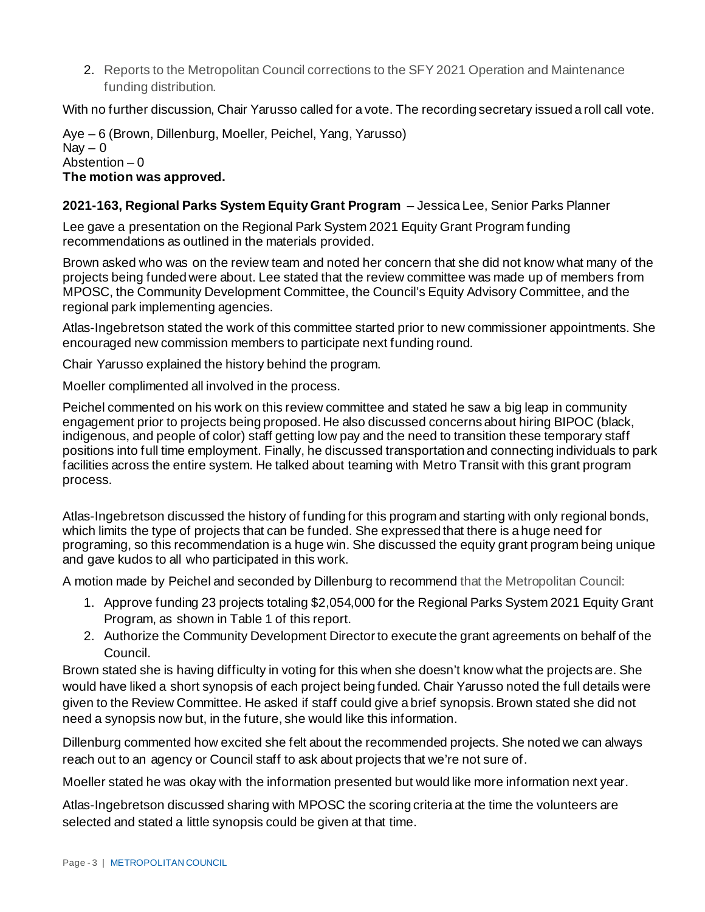2. Reports to the Metropolitan Council corrections to the SFY 2021 Operation and Maintenance funding distribution.

With no further discussion, Chair Yarusso called for a vote. The recording secretary issued a roll call vote.

Aye – 6 (Brown, Dillenburg, Moeller, Peichel, Yang, Yarusso)  $\text{Nav} - 0$ Abstention  $-0$ **The motion was approved.**

## **2021-163, Regional Parks System Equity Grant Program** – Jessica Lee, Senior Parks Planner

Lee gave a presentation on the Regional Park System 2021 Equity Grant Program funding recommendations as outlined in the materials provided.

Brown asked who was on the review team and noted her concern that she did not know what many of the projects being funded were about. Lee stated that the review committee was made up of members from MPOSC, the Community Development Committee, the Council's Equity Advisory Committee, and the regional park implementing agencies.

Atlas-Ingebretson stated the work of this committee started prior to new commissioner appointments. She encouraged new commission members to participate next funding round.

Chair Yarusso explained the history behind the program.

Moeller complimented all involved in the process.

Peichel commented on his work on this review committee and stated he saw a big leap in community engagement prior to projects being proposed. He also discussed concerns about hiring BIPOC (black, indigenous, and people of color) staff getting low pay and the need to transition these temporary staff positions into full time employment. Finally, he discussed transportation and connecting individuals to park facilities across the entire system. He talked about teaming with Metro Transit with this grant program process.

Atlas-Ingebretson discussed the history of funding for this program and starting with only regional bonds, which limits the type of projects that can be funded. She expressed that there is a huge need for programing, so this recommendation is a huge win. She discussed the equity grant program being unique and gave kudos to all who participated in this work.

A motion made by Peichel and seconded by Dillenburg to recommend that the Metropolitan Council:

- 1. Approve funding 23 projects totaling \$2,054,000 for the Regional Parks System 2021 Equity Grant Program, as shown in Table 1 of this report.
- 2. Authorize the Community Development Director to execute the grant agreements on behalf of the Council.

Brown stated she is having difficulty in voting for this when she doesn't know what the projects are. She would have liked a short synopsis of each project being funded. Chair Yarusso noted the full details were given to the Review Committee. He asked if staff could give a brief synopsis. Brown stated she did not need a synopsis now but, in the future, she would like this information.

Dillenburg commented how excited she felt about the recommended projects. She noted we can always reach out to an agency or Council staff to ask about projects that we're not sure of.

Moeller stated he was okay with the information presented but would like more information next year.

Atlas-Ingebretson discussed sharing with MPOSC the scoring criteria at the time the volunteers are selected and stated a little synopsis could be given at that time.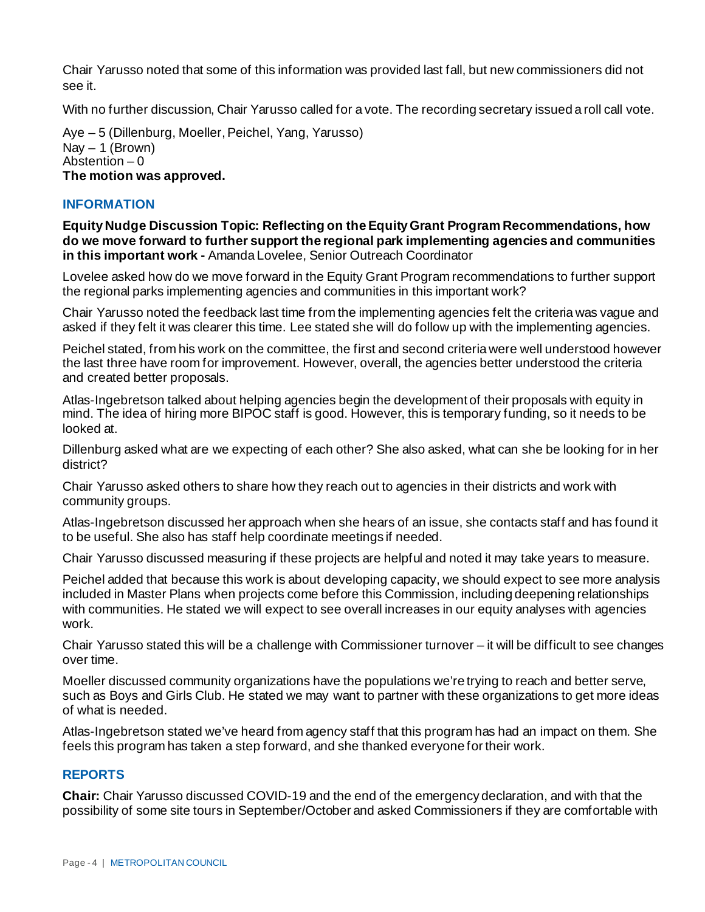Chair Yarusso noted that some of this information was provided last fall, but new commissioners did not see it.

With no further discussion, Chair Yarusso called for a vote. The recording secretary issued a roll call vote.

Aye – 5 (Dillenburg, Moeller, Peichel, Yang, Yarusso)  $Nav - 1 (Brown)$ Abstention  $-0$ **The motion was approved.**

## **INFORMATION**

**Equity Nudge Discussion Topic: Reflecting on the Equity Grant Program Recommendations, how do we move forward to further support the regional park implementing agencies and communities in this important work -** Amanda Lovelee, Senior Outreach Coordinator

Lovelee asked how do we move forward in the Equity Grant Program recommendations to further support the regional parks implementing agencies and communities in this important work?

Chair Yarusso noted the feedback last time from the implementing agencies felt the criteria was vague and asked if they felt it was clearer this time. Lee stated she will do follow up with the implementing agencies.

Peichel stated, from his work on the committee, the first and second criteria were well understood however the last three have room for improvement. However, overall, the agencies better understood the criteria and created better proposals.

Atlas-Ingebretson talked about helping agencies begin the development of their proposals with equity in mind. The idea of hiring more BIPOC staff is good. However, this is temporary funding, so it needs to be looked at.

Dillenburg asked what are we expecting of each other? She also asked, what can she be looking for in her district?

Chair Yarusso asked others to share how they reach out to agencies in their districts and work with community groups.

Atlas-Ingebretson discussed her approach when she hears of an issue, she contacts staff and has found it to be useful. She also has staff help coordinate meetings if needed.

Chair Yarusso discussed measuring if these projects are helpful and noted it may take years to measure.

Peichel added that because this work is about developing capacity, we should expect to see more analysis included in Master Plans when projects come before this Commission, including deepening relationships with communities. He stated we will expect to see overall increases in our equity analyses with agencies work.

Chair Yarusso stated this will be a challenge with Commissioner turnover – it will be difficult to see changes over time.

Moeller discussed community organizations have the populations we're trying to reach and better serve, such as Boys and Girls Club. He stated we may want to partner with these organizations to get more ideas of what is needed.

Atlas-Ingebretson stated we've heard from agency staff that this program has had an impact on them. She feels this program has taken a step forward, and she thanked everyone for their work.

## **REPORTS**

**Chair:** Chair Yarusso discussed COVID-19 and the end of the emergency declaration, and with that the possibility of some site tours in September/October and asked Commissioners if they are comfortable with